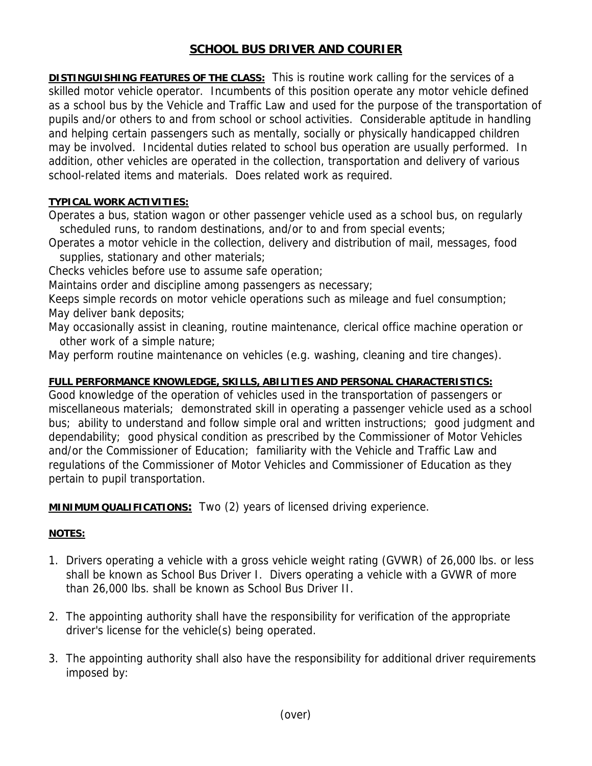## **SCHOOL BUS DRIVER AND COURIER**

**DISTINGUISHING FEATURES OF THE CLASS:** This is routine work calling for the services of a skilled motor vehicle operator. Incumbents of this position operate any motor vehicle defined as a school bus by the Vehicle and Traffic Law and used for the purpose of the transportation of pupils and/or others to and from school or school activities. Considerable aptitude in handling and helping certain passengers such as mentally, socially or physically handicapped children may be involved. Incidental duties related to school bus operation are usually performed. In addition, other vehicles are operated in the collection, transportation and delivery of various school-related items and materials. Does related work as required.

## **TYPICAL WORK ACTIVITIES:**

Operates a bus, station wagon or other passenger vehicle used as a school bus, on regularly scheduled runs, to random destinations, and/or to and from special events;

Operates a motor vehicle in the collection, delivery and distribution of mail, messages, food supplies, stationary and other materials;

Checks vehicles before use to assume safe operation;

Maintains order and discipline among passengers as necessary;

Keeps simple records on motor vehicle operations such as mileage and fuel consumption; May deliver bank deposits;

May occasionally assist in cleaning, routine maintenance, clerical office machine operation or other work of a simple nature;

May perform routine maintenance on vehicles (e.g. washing, cleaning and tire changes).

## **FULL PERFORMANCE KNOWLEDGE, SKILLS, ABILITIES AND PERSONAL CHARACTERISTICS:**

Good knowledge of the operation of vehicles used in the transportation of passengers or miscellaneous materials; demonstrated skill in operating a passenger vehicle used as a school bus; ability to understand and follow simple oral and written instructions; good judgment and dependability; good physical condition as prescribed by the Commissioner of Motor Vehicles and/or the Commissioner of Education; familiarity with the Vehicle and Traffic Law and regulations of the Commissioner of Motor Vehicles and Commissioner of Education as they pertain to pupil transportation.

**MINIMUM QUALIFICATIONS:** Two (2) years of licensed driving experience.

## **NOTES:**

- 1. Drivers operating a vehicle with a gross vehicle weight rating (GVWR) of 26,000 lbs. or less shall be known as School Bus Driver I. Divers operating a vehicle with a GVWR of more than 26,000 lbs. shall be known as School Bus Driver II.
- 2. The appointing authority shall have the responsibility for verification of the appropriate driver's license for the vehicle(s) being operated.
- 3. The appointing authority shall also have the responsibility for additional driver requirements imposed by: